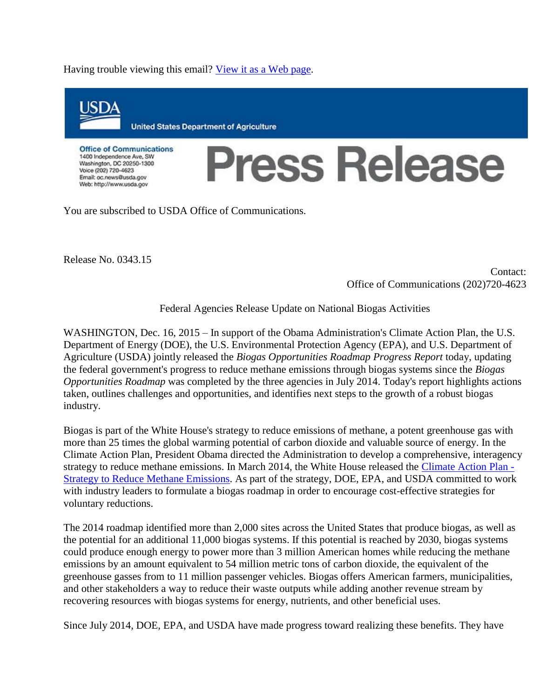Having trouble viewing this email? [View it as a Web page.](http://links.govdelivery.com/track?type=click&enid=ZWFzPTEmbWFpbGluZ2lkPTIwMTUxMjE2LjUyODMyMzAxJm1lc3NhZ2VpZD1NREItUFJELUJVTC0yMDE1MTIxNi41MjgzMjMwMSZkYXRhYmFzZWlkPTEwMDEmc2VyaWFsPTE3NTUwNDMwJmVtYWlsaWQ9YWdyb21pY3JvMUBjb3F1aS5uZXQmdXNlcmlkPWFncm9taWNybzFAY29xdWkubmV0JmZsPSZleHRyYT1NdWx0aXZhcmlhdGVJZD0mJiY=&&&100&&&http://content.govdelivery.com/accounts/USDAOC/bulletins/12b5563)



You are subscribed to USDA Office of Communications.

Release No. 0343.15

Contact: Office of Communications (202)720-4623

Federal Agencies Release Update on National Biogas Activities

WASHINGTON, Dec. 16, 2015 – In support of the Obama Administration's Climate Action Plan, the U.S. Department of Energy (DOE), the U.S. Environmental Protection Agency (EPA), and U.S. Department of Agriculture (USDA) jointly released the *Biogas Opportunities Roadmap Progress Report* today, updating the federal government's progress to reduce methane emissions through biogas systems since the *Biogas Opportunities Roadmap* was completed by the three agencies in July 2014. Today's report highlights actions taken, outlines challenges and opportunities, and identifies next steps to the growth of a robust biogas industry.

Biogas is part of the White House's strategy to reduce emissions of methane, a potent greenhouse gas with more than 25 times the global warming potential of carbon dioxide and valuable source of energy. In the Climate Action Plan, President Obama directed the Administration to develop a comprehensive, interagency strategy to reduce methane emissions. In March 2014, the White House released the [Climate Action Plan -](http://links.govdelivery.com/track?type=click&enid=ZWFzPTEmbWFpbGluZ2lkPTIwMTUxMjE2LjUyODMyMzAxJm1lc3NhZ2VpZD1NREItUFJELUJVTC0yMDE1MTIxNi41MjgzMjMwMSZkYXRhYmFzZWlkPTEwMDEmc2VyaWFsPTE3NTUwNDMwJmVtYWlsaWQ9YWdyb21pY3JvMUBjb3F1aS5uZXQmdXNlcmlkPWFncm9taWNybzFAY29xdWkubmV0JmZsPSZleHRyYT1NdWx0aXZhcmlhdGVJZD0mJiY=&&&101&&&https://www.whitehouse.gov/sites/default/files/strategy_to_reduce_methane_emissions_2014-03-28_final.pdf) [Strategy to Reduce Methane Emissions.](http://links.govdelivery.com/track?type=click&enid=ZWFzPTEmbWFpbGluZ2lkPTIwMTUxMjE2LjUyODMyMzAxJm1lc3NhZ2VpZD1NREItUFJELUJVTC0yMDE1MTIxNi41MjgzMjMwMSZkYXRhYmFzZWlkPTEwMDEmc2VyaWFsPTE3NTUwNDMwJmVtYWlsaWQ9YWdyb21pY3JvMUBjb3F1aS5uZXQmdXNlcmlkPWFncm9taWNybzFAY29xdWkubmV0JmZsPSZleHRyYT1NdWx0aXZhcmlhdGVJZD0mJiY=&&&101&&&https://www.whitehouse.gov/sites/default/files/strategy_to_reduce_methane_emissions_2014-03-28_final.pdf) As part of the strategy, DOE, EPA, and USDA committed to work with industry leaders to formulate a biogas roadmap in order to encourage cost-effective strategies for voluntary reductions.

The 2014 roadmap identified more than 2,000 sites across the United States that produce biogas, as well as the potential for an additional 11,000 biogas systems. If this potential is reached by 2030, biogas systems could produce enough energy to power more than 3 million American homes while reducing the methane emissions by an amount equivalent to 54 million metric tons of carbon dioxide, the equivalent of the greenhouse gasses from to 11 million passenger vehicles. Biogas offers American farmers, municipalities, and other stakeholders a way to reduce their waste outputs while adding another revenue stream by recovering resources with biogas systems for energy, nutrients, and other beneficial uses.

Since July 2014, DOE, EPA, and USDA have made progress toward realizing these benefits. They have